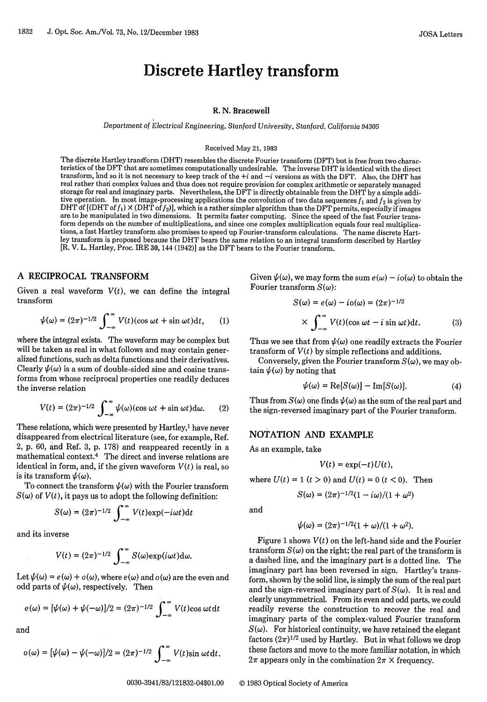# Discrete Hartley transform

#### R. N. Bracewell

*Department of* Electrical Engineering, Stanford *University,* Stanford, California *94305*

#### Received May 21,1983

The discrete Hartley transform (DHT) resembles the discrete Fourier transform (DFT) but is free from two characteristics of the DFT that are'sometimes computationally undesirable. The inverse DHT is identical with the direct transform, and so it is not necessary to keep track of the  $+i$  and  $-i$  versions as with the DFT. Also, the DHT has real rather thaii complex values and thus does not require provision for complex arithmetic or separately managed storage for real and imaginary parts. Nevertheless, the DFT is directly obtainable from the DHT by a simple additive operation. In most image-processing applications the convolution of two data sequences  $f_1$  and  $f_2$  is given by DHT of  $[$  (DHT of  $f_1$ )  $\times$  (DHT of  $f_2$ )], which is a rather simpler algorithm than the DFT permits, especially if images are. to be manipulated in two dimensions. It permits faster computing. Since the speed of the fast Fourier transform depends on the number of multiplications, and since one complex multiplication equals four real multiplications, a fast Hartley transform also promises to speed up Fourier-transform calculations. The name discrete Hartley transform is proposed because the DHT bears the same relation to an integral transform described by Hartley [R. V. L. Hartley, Proc. IRE 30,144 (1942)] as the DFT bears to the Fourier transform.

# **A RECIPROCAL TRANSFORM**

Given a real waveform  $V(t)$ , we can define the integral transform

$$
\psi(\omega) = (2\pi)^{-1/2} \int_{-\infty}^{\infty} V(t) (\cos \omega t + \sin \omega t) dt, \qquad (1)
$$

where the integral exists. The waveform may be complex but will be taken as real in what follows and may contain generalized functions, such as delta functions and their derivatives. Clearly  $\psi(\omega)$  is a sum of double-sided sine and cosine transforms from whose reciprocal properties one readily deduces the inverse relation

$$
V(t) = (2\pi)^{-1/2} \int_{-\infty}^{\infty} \psi(\omega) (\cos \omega t + \sin \omega t) d\omega.
$$
 (2)

These relations, which were presented by Hartley,<sup>1</sup> have never disappeared from electrical literature (see, for example, Ref. 2, p. 60, and Ref. 3, p. 178) and reappeared recently in a mathematical context.4 The direct and inverse relations are identical in form, and, if the given waveform  $V(t)$  is real, so is its transform  $\psi(\omega)$ .

To connect the transform  $\psi(\omega)$  with the Fourier transform  $S(\omega)$  of  $V(t)$ , it pays us to adopt the following definition:

$$
S(\omega) = (2\pi)^{-1/2} \int_{-\infty}^{\infty} V(t) \exp(-i\omega t) dt
$$

and its inverse

$$
V(t) = (2\pi)^{-1/2} \int_{-\infty}^{\infty} S(\omega) \exp(i\omega t) d\omega.
$$

Let  $\psi(\omega) = e(\omega) + o(\omega)$ , where  $e(\omega)$  and  $o(\omega)$  are the even and odd parts of  $\psi(\omega)$ , respectively. Then

$$
e(\omega) = [\psi(\omega) + \psi(-\omega)]/2 = (2\pi)^{-1/2} \int_{-\infty}^{\infty} V(t) \cos \omega t dt
$$

and

$$
o(\omega) = [\psi(\omega) - \psi(-\omega)]/2 = (2\pi)^{-1/2} \int_{-\infty}^{\infty} V(t) \sin \omega t \, dt.
$$

Given  $\psi(\omega)$ , we may form the sum  $e(\omega) - i\omega(\omega)$  to obtain the Fourier transform  $S(\omega)$ :

$$
S(\omega) = e(\omega) - i\sigma(\omega) = (2\pi)^{-1/2}
$$

$$
\times \int_{-\infty}^{\infty} V(t) (\cos \omega t - i \sin \omega t) dt.
$$
 (3)

Thus we see that from  $\psi(\omega)$  one readily extracts the Fourier transform of  $V(t)$  by simple reflections and additions.

Conversely, given the Fourier transform  $S(\omega)$ , we may obtain  $\psi(\omega)$  by noting that

$$
\psi(\omega) = \text{Re}[S(\omega)] - \text{Im}[S(\omega)]. \tag{4}
$$

Thus from  $S(\omega)$  one finds  $\psi(\omega)$  as the sum of the real part and the sign-reversed imaginary part of the Fourier transform.

## NOTATION AND EXAMPLE

As an example, take

$$
V(t) = \exp(-t)U(t),
$$

where  $U(t) = 1$   $(t > 0)$  and  $U(t) = 0$   $(t < 0)$ . Then

$$
S(\omega)=(2\pi)^{-1/2}(1-i\omega)/(1+\omega^2)
$$

and

$$
\psi(\omega) = (2\pi)^{-1/2}(1+\omega)/(1+\omega^2).
$$

Figure 1 shows  $V(t)$  on the left-hand side and the Fourier transform  $S(\omega)$  on the right; the real part of the transform is a dashed line, and the imaginary part is a dotted line. The imaginary part has been reversed in sign. Hartley's transform, shown by the solid line, is simply the sum of the real part and the sign-reversed imaginary part of  $S(\omega)$ . It is real and clearly unsymmetrical. From its even and odd parts, we could readily reverse the construction to recover the real and imaginary parts of the complex-valued Fourier transform  $S(\omega)$ . For historical continuity, we have retained the elegant factors  $(2\pi)^{1/2}$  used by Hartley. But in what follows we drop these factors and move to the more familiar notation, in which  $2\pi$  appears only in the combination  $2\pi \times$  frequency.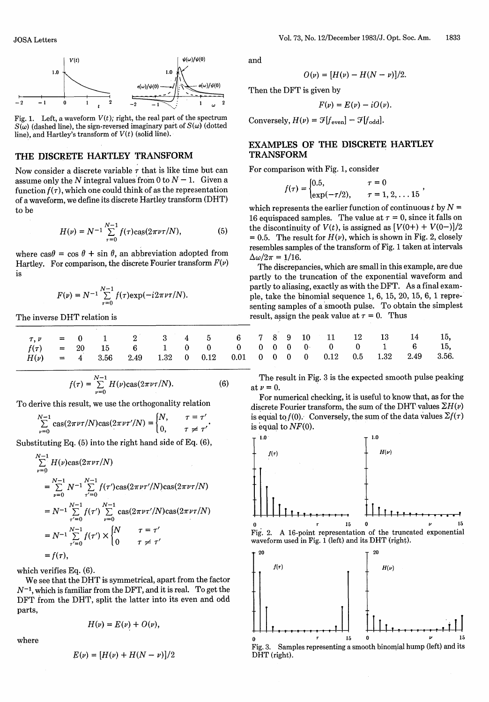

Fig. 1. Left, a waveform  $V(t)$ ; right, the real part of the spectrum  $S(\omega)$  (dashed line), the sign-reversed imaginary part of  $S(\omega)$  (dotted line), and Hartley's transform of  $V(t)$  (solid line).

## THE DISCRETE HARTLEY TRANSFORM

Now consider a discrete variable  $\tau$  that is like time but can assume only the *N* integral values from 0 to  $N-1$ . Given a function  $f(\tau)$ , which one could think of as the representation of a waveform, we define its discrete Hartley transform (DHT) to be

$$
H(\nu) = N^{-1} \sum_{\tau=0}^{N-1} f(\tau) \cos(2\pi\nu\tau/N), \tag{5}
$$

where  $\cos \theta = \cos \theta + \sin \theta$ , an abbreviation adopted from Hartley. For comparison, the discrete Fourier transform  $F(\nu)$ is

$$
F(\nu) = N^{-1} \sum_{\tau=0}^{N-1} f(\tau) \exp(-i 2\pi \nu \tau/N).
$$

The inverse DHT relation is

$$
r, \nu = 0 \quad 1 \quad 2 \quad 3 \quad 4 \quad 5 \quad 6
$$
  
\n
$$
f(r) = 20 \quad 15 \quad 6 \quad 1 \quad 0 \quad 0 \quad 0
$$
  
\n
$$
H(\nu) = 4 \quad 3.56 \quad 2.49 \quad 1.32 \quad 0 \quad 0.12 \quad 0.01
$$

$$
f(\tau) = \sum_{\nu=0}^{N-1} H(\nu) \cos(2\pi\nu\tau/N).
$$
 (6)

To derive this result, we use the orthogonality relation

$$
\sum_{\nu=0}^{N-1} \cos(2\pi\nu\tau/N) \cos(2\pi\nu\tau'/N) = \begin{cases} N, & \tau = \tau' \\ 0, & \tau \neq \tau' \end{cases}
$$

Substituting Eq. (5) into the right hand side of Eq. (6),

$$
\sum_{\nu=0}^{N-1} H(\nu) \cos(2\pi\nu\tau/N)
$$
\n
$$
= \sum_{\nu=0}^{N-1} N^{-1} \sum_{\tau'=0}^{N-1} f(\tau') \cos(2\pi\nu\tau'/N) \cos(2\pi\nu\tau/N)
$$
\n
$$
= N^{-1} \sum_{\tau'=0}^{N-1} f(\tau') \sum_{\nu=0}^{N-1} \cos(2\pi\nu\tau'/N) \cos(2\pi\nu\tau/N)
$$
\n
$$
= N^{-1} \sum_{\tau'=0}^{N-1} f(\tau') \times \begin{cases} N & \tau = \tau' \\ 0 & \tau \neq \tau' \end{cases}
$$
\n
$$
= f(\tau),
$$

which verifies Eq. (6).

We see that the DHT is symmetrical, apart from the factor  $N^{-1}$ , which is familiar from the DFT, and it is real. To get the DFT from the DHT, split the latter into its even and odd parts,

where

$$
H(\nu)=E(\nu)+O(\nu),
$$

$$
E(\nu) = [H(\nu) + H(N - \nu)]/2
$$

and

$$
O(\nu) = [H(\nu) - H(N - \nu)]/2.
$$

Then the DFT is given by

$$
F(\nu)=E(\nu)-iO(\nu).
$$

Conversely,  $H(\nu) = \mathcal{F}[f_{\text{even}}] - \mathcal{F}[f_{\text{odd}}].$ 

## **EXAMPLES OF THE DISCRETE HARTLEY TRANSFORM**

For comparison with Fig. 1, consider

$$
f(\tau) = \begin{cases} 0.5, & \tau = 0\\ \exp(-\tau/2), & \tau = 1, 2, \dots 15 \end{cases}
$$

which represents the earlier function of continuous  $t$  by  $N =$ 16 equispaced samples. The value at  $\tau = 0$ , since it falls on the discontinuity of  $V(t)$ , is assigned as  $[V(0+)+V(0-)]/2$ = 0.5. The result for  $H(v)$ , which is shown in Fig. 2, closely resembles samples of the transform of Fig. 1 taken at intervals  $\Delta\omega/2\pi = 1/16.$ 

The discrepancies, which are small in this example, are due partly to the truncation of the exponential waveform and partly to aliasing, exactly as with the DFT. As a final example, take the binomial sequence 1, 6, 15, 20, 15, 6, 1 representing samples of a smooth pulse. To obtain the simplest result, assign the peak value at  $\tau = 0$ . Thus

|  |  |  |  | 7 8 9 10 11 12 13 14 15,                                   |  |
|--|--|--|--|------------------------------------------------------------|--|
|  |  |  |  | $0 \t 0 \t 0 \t 0 \t 0 \t 1 \t 6 \t 15$                    |  |
|  |  |  |  | $0 \t 0 \t 0 \t 0 \t 0.12 \t 0.5 \t 1.32 \t 2.49 \t 3.56.$ |  |

The result in Fig. 3 is the expected smooth pulse peaking at  $\nu=0$ .

For numerical checking, it is useful to know that, as for the discrete Fourier transform, the sum of the DHT values  $\Sigma H(\nu)$ is equal to  $f(0)$ . Conversely, the sum of the data values  $\Sigma f(\tau)$ is equal to *NF(O).*

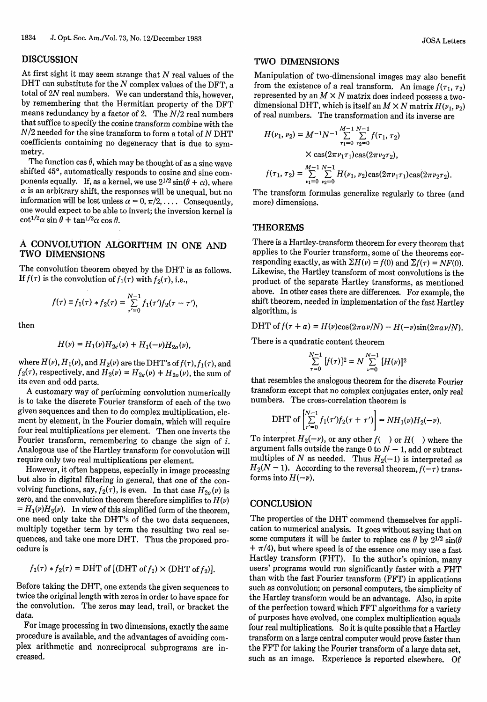## **DISCUSSION**

At first sight it may seem strange that *N* real values of the DHT can substitute for the *N* complex values of the DFT, a total of 2N real numbers. We can understand this, however, by remembering that the Hermitian property of the DFT means redundancy by a factor of 2. The *N/2* real numbers that suffice to specify the cosine transform combine with the *N/2* needed for the sine transform to form a total of *N* DHT coefficients containing no degeneracy that is due to symmetry.

The function cas  $\theta$ , which may be thought of as a sine wave shifted 45°, automatically responds to cosine and sine components equally. If, as a kernel, we use  $2^{1/2} \sin(\theta + \alpha)$ , where  $\alpha$  is an arbitrary shift, the responses will be unequal, but no information will be lost unless  $\alpha = 0, \pi/2, \ldots$ . Consequently, one would expect to be able to invert; the inversion kernel is  $\cot^{1/2} \alpha \sin \theta + \tan^{1/2} \alpha \cos \theta.$ 

# A CONVOLUTION ALGORITHM IN ONE AND TWO DIMENSIONS

The convolution theorem obeyed by the DHT is as follows. If  $f(\tau)$  is the convolution of  $f_1(\tau)$  with  $f_2(\tau)$ , i.e.,

$$
f(\tau) \equiv f_1(\tau) * f_2(\tau) = \sum_{\tau'=0}^{N-1} f_1(\tau') f_2(\tau - \tau'),
$$

then

$$
H(\nu) = H_1(\nu)H_{2e}(\nu) + H_1(-\nu)H_{2o}(\nu),
$$

where  $H(\nu), H_1(\nu),$  and  $H_2(\nu)$  are the DHT's of  $f(\tau), f_1(\tau),$  and  $f_2(\tau)$ , respectively, and  $H_2(\nu) = H_{2e}(\nu) + H_{2o}(\nu)$ , the sum of its even and odd parts.

A customary way of performing convolution numerically is to take the discrete Fourier transform of each of the two given sequences and then to do complex multiplication, element by element, in the Fourier domain, which will require four real multiplications per element. Then one inverts the Fourier transform, remembering to change the sign of *i.* Analogous use of the Hartley transform for convolution will require only two real multiplications per element.

However, it often happens, especially in image processing but also in digital filtering in general, that one of the convolving functions, say,  $f_2(\tau)$ , is even. In that case  $H_{20}(\nu)$  is zero, and the convolution theorem therefore simplifies to  $H(\nu)$  $= H_1(\nu)H_2(\nu)$ . In view of this simplified form of the theorem one need only take the DHT's of the two data sequences, multiply together term by term the resulting two real sequences, and take one more DHT. Thus the proposed procedure is

$$
f_1(\tau) * f_2(\tau) = \text{DHT of } [(\text{DHT of } f_1) \times (\text{DHT of } f_2)].
$$

Before taking the DHT, one extends the given sequences to twice the original length with zeros in order to have space for the convolution. The zeros may lead, trail, or bracket the data.

For image processing in two dimensions, exactly the same procedure is available, and the advantages of avoiding complex arithmetic and nonreciprocal subprograms are increased.

#### TWO **DIMENSIONS**

Manipulation of two-dimensional images may also benefit from the existence of a real transform. An image  $f(\tau_1, \tau_2)$ represented by an  $M \times N$  matrix does indeed possess a twodimensional DHT, which is itself an  $M \times N$  matrix  $H(\nu_1, \nu_2)$ of real numbers. The transformation and its inverse are

$$
H(\nu_1, \nu_2) = M^{-1}N^{-1} \sum_{\tau_1=0}^{M-1} \sum_{\tau_2=0}^{N-1} f(\tau_1, \tau_2)
$$
  
 
$$
\times \cos(2\pi\nu_1\tau_1)\cos(2\pi\nu_2\tau_2),
$$
  
\n
$$
f(\tau_1, \tau_2) = \sum_{\nu_1=0}^{M-1} \sum_{\nu_2=0}^{N-1} H(\nu_1, \nu_2)\cos(2\pi\nu_1\tau_1)\cos(2\pi\nu_2\tau_2).
$$

The transform formulas generalize regularly to three (and more) dimensions.

#### **THEOREMS**

There is a Hartley-transform theorem for every theorem that applies to the Fourier transform, some of the theorems corresponding exactly, as with  $\Sigma H(\nu) = f(0)$  and  $\Sigma f(\tau) = NF(0)$ . Likewise, the Hartley transform of most convolutions is the product of the separate Hartley transforms, as mentioned above. In other cases there are differences. For example, the shift theorem, needed in implementation of the fast Hartley algorithm, is

$$
DHT \text{ of } f(\tau + a) = H(\nu)\cos(2\pi a\nu/N) - H(-\nu)\sin(2\pi a\nu/N).
$$

There is a quadratic content theorem

$$
\sum_{\tau=0}^{N-1} [f(\tau)]^2 = N \sum_{\nu=0}^{N-1} [H(\nu)]^2
$$

that resembles the analogous theorem for the discrete Fourier transform except that no complex conjugates enter, only real numbers. The cross-correlation theorem is

$$
\text{DHT of } \left[ \sum_{\tau'=0}^{N-1} f_1(\tau') f_2(\tau + \tau') \right] = NH_1(\nu) H_2(-\nu).
$$

To interpret  $H_2(-\nu)$ , or any other  $f(-)$  or  $H(-)$  where the argument falls outside the range 0 to  $N-1$ , add or subtract multiples of *N* as needed. Thus  $H_2(-1)$  is interpreted as  $H_2(N-1)$ . According to the reversal theorem,  $f(-\tau)$  transforms into  $H(-\nu)$ .

## **CONCLUSION**

The properties of the DHT commend themselves for application to numerical analysis. It goes without saying that on some computers it will be faster to replace cas  $\theta$  by  $2^{1/2}$  sin( $\theta$ )  $+\pi/4$ , but where speed is of the essence one may use a fast Hartley transform (FHT). In the author's opinion, many users' programs would run significantly faster with a FHT than with the fast Fourier transform (FFT) in applications such as convolution; on personal computers, the simplicity of the Hartley transform would be an advantage. Also, in spite of the perfection toward which FFT algorithms for a variety of purposes have evolved, one complex multiplication equals four real multiplications. So it is quite possible that a Hartley transform on a large central computer would prove faster than the FFT for taking the Fourier transform of a large data set, such as an image. Experience is reported elsewhere. Of